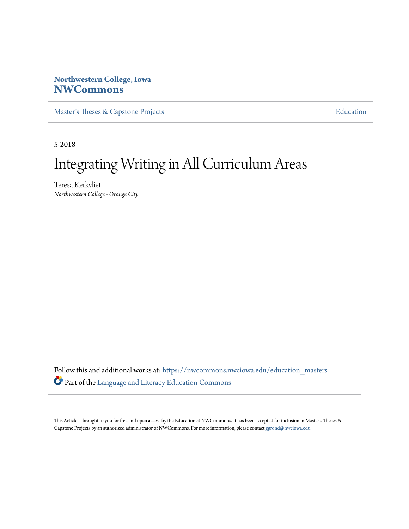# **Northwestern College, Iowa [NWCommons](https://nwcommons.nwciowa.edu?utm_source=nwcommons.nwciowa.edu%2Feducation_masters%2F85&utm_medium=PDF&utm_campaign=PDFCoverPages)**

[Master's Theses & Capstone Projects](https://nwcommons.nwciowa.edu/education_masters?utm_source=nwcommons.nwciowa.edu%2Feducation_masters%2F85&utm_medium=PDF&utm_campaign=PDFCoverPages) **[Education](https://nwcommons.nwciowa.edu/education?utm_source=nwcommons.nwciowa.edu%2Feducation_masters%2F85&utm_medium=PDF&utm_campaign=PDFCoverPages)** 

5-2018

# Integrating Writing in All Curriculum Areas

Teresa Kerkvliet *Northwestern College - Orange City*

Follow this and additional works at: [https://nwcommons.nwciowa.edu/education\\_masters](https://nwcommons.nwciowa.edu/education_masters?utm_source=nwcommons.nwciowa.edu%2Feducation_masters%2F85&utm_medium=PDF&utm_campaign=PDFCoverPages) Part of the [Language and Literacy Education Commons](http://network.bepress.com/hgg/discipline/1380?utm_source=nwcommons.nwciowa.edu%2Feducation_masters%2F85&utm_medium=PDF&utm_campaign=PDFCoverPages)

This Article is brought to you for free and open access by the Education at NWCommons. It has been accepted for inclusion in Master's Theses & Capstone Projects by an authorized administrator of NWCommons. For more information, please contact [ggrond@nwciowa.edu.](mailto:ggrond@nwciowa.edu)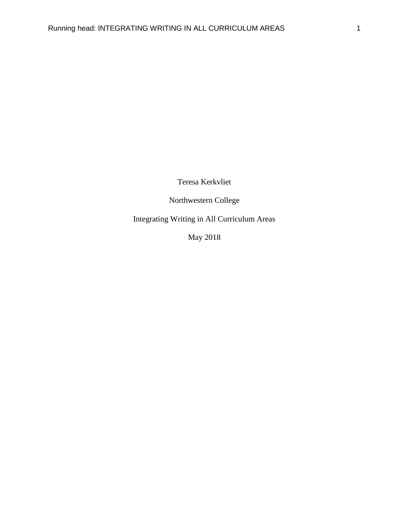Teresa Kerkvliet

Northwestern College

Integrating Writing in All Curriculum Areas

May 2018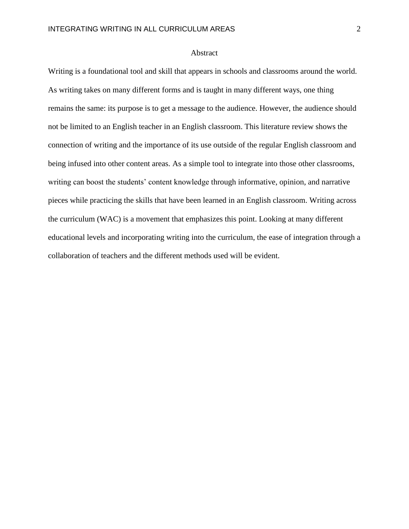### Abstract

Writing is a foundational tool and skill that appears in schools and classrooms around the world. As writing takes on many different forms and is taught in many different ways, one thing remains the same: its purpose is to get a message to the audience. However, the audience should not be limited to an English teacher in an English classroom. This literature review shows the connection of writing and the importance of its use outside of the regular English classroom and being infused into other content areas. As a simple tool to integrate into those other classrooms, writing can boost the students' content knowledge through informative, opinion, and narrative pieces while practicing the skills that have been learned in an English classroom. Writing across the curriculum (WAC) is a movement that emphasizes this point. Looking at many different educational levels and incorporating writing into the curriculum, the ease of integration through a collaboration of teachers and the different methods used will be evident.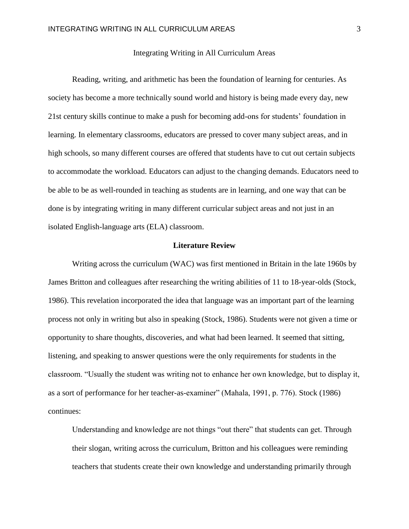# Integrating Writing in All Curriculum Areas

Reading, writing, and arithmetic has been the foundation of learning for centuries. As society has become a more technically sound world and history is being made every day, new 21st century skills continue to make a push for becoming add-ons for students' foundation in learning. In elementary classrooms, educators are pressed to cover many subject areas, and in high schools, so many different courses are offered that students have to cut out certain subjects to accommodate the workload. Educators can adjust to the changing demands. Educators need to be able to be as well-rounded in teaching as students are in learning, and one way that can be done is by integrating writing in many different curricular subject areas and not just in an isolated English-language arts (ELA) classroom.

#### **Literature Review**

Writing across the curriculum (WAC) was first mentioned in Britain in the late 1960s by James Britton and colleagues after researching the writing abilities of 11 to 18-year-olds (Stock, 1986). This revelation incorporated the idea that language was an important part of the learning process not only in writing but also in speaking (Stock, 1986). Students were not given a time or opportunity to share thoughts, discoveries, and what had been learned. It seemed that sitting, listening, and speaking to answer questions were the only requirements for students in the classroom. "Usually the student was writing not to enhance her own knowledge, but to display it, as a sort of performance for her teacher-as-examiner" (Mahala, 1991, p. 776). Stock (1986) continues:

Understanding and knowledge are not things "out there" that students can get. Through their slogan, writing across the curriculum, Britton and his colleagues were reminding teachers that students create their own knowledge and understanding primarily through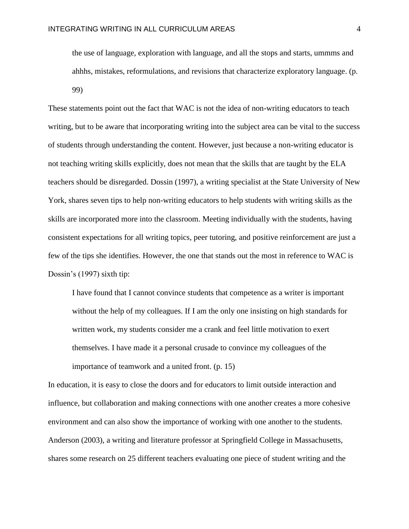the use of language, exploration with language, and all the stops and starts, ummms and ahhhs, mistakes, reformulations, and revisions that characterize exploratory language. (p. 99)

These statements point out the fact that WAC is not the idea of non-writing educators to teach writing, but to be aware that incorporating writing into the subject area can be vital to the success of students through understanding the content. However, just because a non-writing educator is not teaching writing skills explicitly, does not mean that the skills that are taught by the ELA teachers should be disregarded. Dossin (1997), a writing specialist at the State University of New York, shares seven tips to help non-writing educators to help students with writing skills as the skills are incorporated more into the classroom. Meeting individually with the students, having consistent expectations for all writing topics, peer tutoring, and positive reinforcement are just a few of the tips she identifies. However, the one that stands out the most in reference to WAC is Dossin's (1997) sixth tip:

I have found that I cannot convince students that competence as a writer is important without the help of my colleagues. If I am the only one insisting on high standards for written work, my students consider me a crank and feel little motivation to exert themselves. I have made it a personal crusade to convince my colleagues of the importance of teamwork and a united front. (p. 15)

In education, it is easy to close the doors and for educators to limit outside interaction and influence, but collaboration and making connections with one another creates a more cohesive environment and can also show the importance of working with one another to the students. Anderson (2003), a writing and literature professor at Springfield College in Massachusetts, shares some research on 25 different teachers evaluating one piece of student writing and the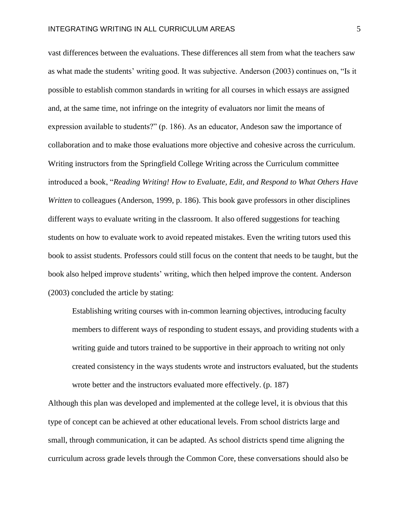vast differences between the evaluations. These differences all stem from what the teachers saw as what made the students' writing good. It was subjective. Anderson (2003) continues on, "Is it possible to establish common standards in writing for all courses in which essays are assigned and, at the same time, not infringe on the integrity of evaluators nor limit the means of expression available to students?" (p. 186). As an educator, Andeson saw the importance of collaboration and to make those evaluations more objective and cohesive across the curriculum. Writing instructors from the Springfield College Writing across the Curriculum committee introduced a book, "*Reading Writing! How to Evaluate, Edit, and Respond to What Others Have Written* to colleagues (Anderson, 1999, p. 186). This book gave professors in other disciplines different ways to evaluate writing in the classroom. It also offered suggestions for teaching students on how to evaluate work to avoid repeated mistakes. Even the writing tutors used this book to assist students. Professors could still focus on the content that needs to be taught, but the book also helped improve students' writing, which then helped improve the content. Anderson (2003) concluded the article by stating:

Establishing writing courses with in-common learning objectives, introducing faculty members to different ways of responding to student essays, and providing students with a writing guide and tutors trained to be supportive in their approach to writing not only created consistency in the ways students wrote and instructors evaluated, but the students wrote better and the instructors evaluated more effectively. (p. 187)

Although this plan was developed and implemented at the college level, it is obvious that this type of concept can be achieved at other educational levels. From school districts large and small, through communication, it can be adapted. As school districts spend time aligning the curriculum across grade levels through the Common Core, these conversations should also be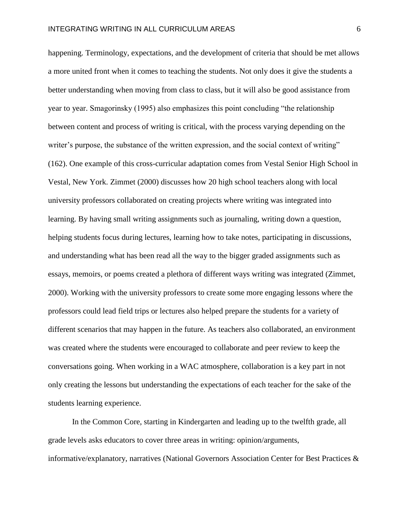happening. Terminology, expectations, and the development of criteria that should be met allows a more united front when it comes to teaching the students. Not only does it give the students a better understanding when moving from class to class, but it will also be good assistance from year to year. Smagorinsky (1995) also emphasizes this point concluding "the relationship between content and process of writing is critical, with the process varying depending on the writer's purpose, the substance of the written expression, and the social context of writing" (162). One example of this cross-curricular adaptation comes from Vestal Senior High School in Vestal, New York. Zimmet (2000) discusses how 20 high school teachers along with local university professors collaborated on creating projects where writing was integrated into learning. By having small writing assignments such as journaling, writing down a question, helping students focus during lectures, learning how to take notes, participating in discussions, and understanding what has been read all the way to the bigger graded assignments such as essays, memoirs, or poems created a plethora of different ways writing was integrated (Zimmet, 2000). Working with the university professors to create some more engaging lessons where the professors could lead field trips or lectures also helped prepare the students for a variety of different scenarios that may happen in the future. As teachers also collaborated, an environment was created where the students were encouraged to collaborate and peer review to keep the conversations going. When working in a WAC atmosphere, collaboration is a key part in not only creating the lessons but understanding the expectations of each teacher for the sake of the students learning experience.

In the Common Core, starting in Kindergarten and leading up to the twelfth grade, all grade levels asks educators to cover three areas in writing: opinion/arguments, informative/explanatory, narratives (National Governors Association Center for Best Practices &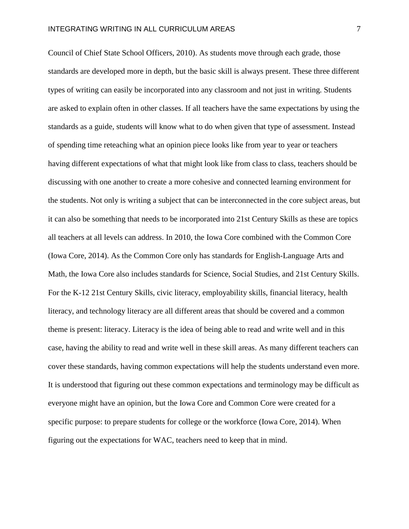Council of Chief State School Officers, 2010). As students move through each grade, those standards are developed more in depth, but the basic skill is always present. These three different types of writing can easily be incorporated into any classroom and not just in writing. Students are asked to explain often in other classes. If all teachers have the same expectations by using the standards as a guide, students will know what to do when given that type of assessment. Instead of spending time reteaching what an opinion piece looks like from year to year or teachers having different expectations of what that might look like from class to class, teachers should be discussing with one another to create a more cohesive and connected learning environment for the students. Not only is writing a subject that can be interconnected in the core subject areas, but it can also be something that needs to be incorporated into 21st Century Skills as these are topics all teachers at all levels can address. In 2010, the Iowa Core combined with the Common Core (Iowa Core, 2014). As the Common Core only has standards for English-Language Arts and Math, the Iowa Core also includes standards for Science, Social Studies, and 21st Century Skills. For the K-12 21st Century Skills, civic literacy, employability skills, financial literacy, health literacy, and technology literacy are all different areas that should be covered and a common theme is present: literacy. Literacy is the idea of being able to read and write well and in this case, having the ability to read and write well in these skill areas. As many different teachers can cover these standards, having common expectations will help the students understand even more. It is understood that figuring out these common expectations and terminology may be difficult as everyone might have an opinion, but the Iowa Core and Common Core were created for a specific purpose: to prepare students for college or the workforce (Iowa Core, 2014). When figuring out the expectations for WAC, teachers need to keep that in mind.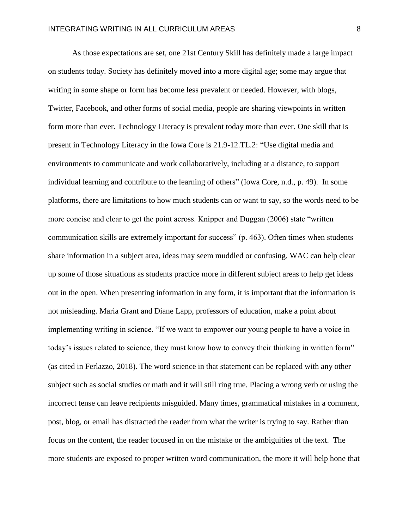As those expectations are set, one 21st Century Skill has definitely made a large impact on students today. Society has definitely moved into a more digital age; some may argue that writing in some shape or form has become less prevalent or needed. However, with blogs, Twitter, Facebook, and other forms of social media, people are sharing viewpoints in written form more than ever. Technology Literacy is prevalent today more than ever. One skill that is present in Technology Literacy in the Iowa Core is 21.9-12.TL.2: "Use digital media and environments to communicate and work collaboratively, including at a distance, to support individual learning and contribute to the learning of others" (Iowa Core, n.d., p. 49). In some platforms, there are limitations to how much students can or want to say, so the words need to be more concise and clear to get the point across. Knipper and Duggan (2006) state "written communication skills are extremely important for success" (p. 463). Often times when students share information in a subject area, ideas may seem muddled or confusing. WAC can help clear up some of those situations as students practice more in different subject areas to help get ideas out in the open. When presenting information in any form, it is important that the information is not misleading. Maria Grant and Diane Lapp, professors of education, make a point about implementing writing in science. "If we want to empower our young people to have a voice in today's issues related to science, they must know how to convey their thinking in written form" (as cited in Ferlazzo, 2018). The word science in that statement can be replaced with any other subject such as social studies or math and it will still ring true. Placing a wrong verb or using the incorrect tense can leave recipients misguided. Many times, grammatical mistakes in a comment, post, blog, or email has distracted the reader from what the writer is trying to say. Rather than focus on the content, the reader focused in on the mistake or the ambiguities of the text. The more students are exposed to proper written word communication, the more it will help hone that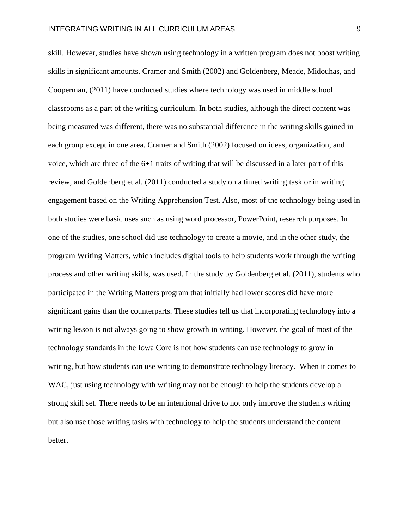skill. However, studies have shown using technology in a written program does not boost writing skills in significant amounts. Cramer and Smith (2002) and Goldenberg, Meade, Midouhas, and Cooperman, (2011) have conducted studies where technology was used in middle school classrooms as a part of the writing curriculum. In both studies, although the direct content was being measured was different, there was no substantial difference in the writing skills gained in each group except in one area. Cramer and Smith (2002) focused on ideas, organization, and voice, which are three of the 6+1 traits of writing that will be discussed in a later part of this review, and Goldenberg et al. (2011) conducted a study on a timed writing task or in writing engagement based on the Writing Apprehension Test. Also, most of the technology being used in both studies were basic uses such as using word processor, PowerPoint, research purposes. In one of the studies, one school did use technology to create a movie, and in the other study, the program Writing Matters, which includes digital tools to help students work through the writing process and other writing skills, was used. In the study by Goldenberg et al. (2011), students who participated in the Writing Matters program that initially had lower scores did have more significant gains than the counterparts. These studies tell us that incorporating technology into a writing lesson is not always going to show growth in writing. However, the goal of most of the technology standards in the Iowa Core is not how students can use technology to grow in writing, but how students can use writing to demonstrate technology literacy. When it comes to WAC, just using technology with writing may not be enough to help the students develop a strong skill set. There needs to be an intentional drive to not only improve the students writing but also use those writing tasks with technology to help the students understand the content better.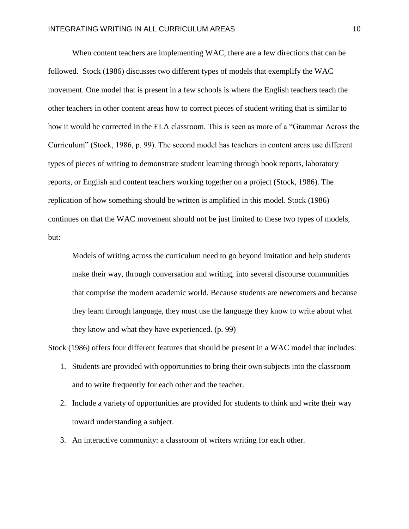When content teachers are implementing WAC, there are a few directions that can be followed. Stock (1986) discusses two different types of models that exemplify the WAC movement. One model that is present in a few schools is where the English teachers teach the other teachers in other content areas how to correct pieces of student writing that is similar to how it would be corrected in the ELA classroom. This is seen as more of a "Grammar Across the Curriculum" (Stock, 1986, p. 99). The second model has teachers in content areas use different types of pieces of writing to demonstrate student learning through book reports, laboratory reports, or English and content teachers working together on a project (Stock, 1986). The replication of how something should be written is amplified in this model. Stock (1986) continues on that the WAC movement should not be just limited to these two types of models, but:

Models of writing across the curriculum need to go beyond imitation and help students make their way, through conversation and writing, into several discourse communities that comprise the modern academic world. Because students are newcomers and because they learn through language, they must use the language they know to write about what they know and what they have experienced. (p. 99)

Stock (1986) offers four different features that should be present in a WAC model that includes:

- 1. Students are provided with opportunities to bring their own subjects into the classroom and to write frequently for each other and the teacher.
- 2. Include a variety of opportunities are provided for students to think and write their way toward understanding a subject.
- 3. An interactive community: a classroom of writers writing for each other.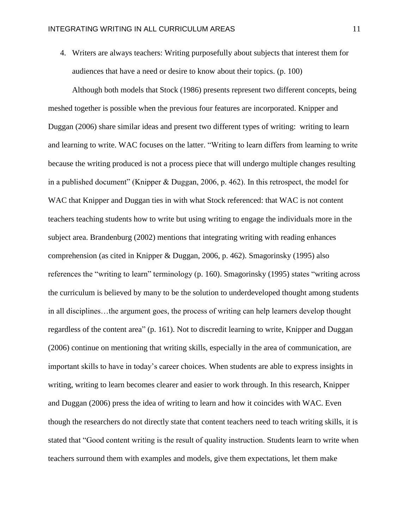4. Writers are always teachers: Writing purposefully about subjects that interest them for audiences that have a need or desire to know about their topics. (p. 100)

Although both models that Stock (1986) presents represent two different concepts, being meshed together is possible when the previous four features are incorporated. Knipper and Duggan (2006) share similar ideas and present two different types of writing: writing to learn and learning to write. WAC focuses on the latter. "Writing to learn differs from learning to write because the writing produced is not a process piece that will undergo multiple changes resulting in a published document" (Knipper & Duggan, 2006, p. 462). In this retrospect, the model for WAC that Knipper and Duggan ties in with what Stock referenced: that WAC is not content teachers teaching students how to write but using writing to engage the individuals more in the subject area. Brandenburg (2002) mentions that integrating writing with reading enhances comprehension (as cited in Knipper & Duggan, 2006, p. 462). Smagorinsky (1995) also references the "writing to learn" terminology (p. 160). Smagorinsky (1995) states "writing across the curriculum is believed by many to be the solution to underdeveloped thought among students in all disciplines…the argument goes, the process of writing can help learners develop thought regardless of the content area" (p. 161). Not to discredit learning to write, Knipper and Duggan (2006) continue on mentioning that writing skills, especially in the area of communication, are important skills to have in today's career choices. When students are able to express insights in writing, writing to learn becomes clearer and easier to work through. In this research, Knipper and Duggan (2006) press the idea of writing to learn and how it coincides with WAC. Even though the researchers do not directly state that content teachers need to teach writing skills, it is stated that "Good content writing is the result of quality instruction. Students learn to write when teachers surround them with examples and models, give them expectations, let them make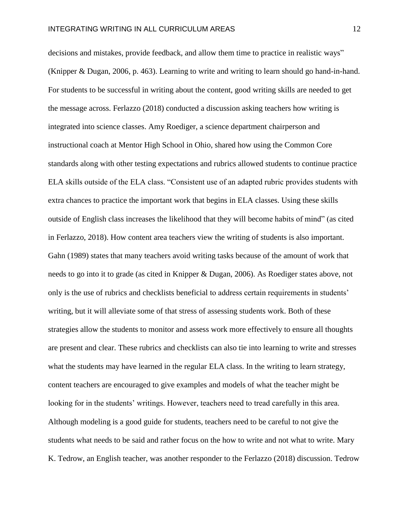decisions and mistakes, provide feedback, and allow them time to practice in realistic ways" (Knipper & Dugan, 2006, p. 463). Learning to write and writing to learn should go hand-in-hand. For students to be successful in writing about the content, good writing skills are needed to get the message across. Ferlazzo (2018) conducted a discussion asking teachers how writing is integrated into science classes. Amy Roediger, a science department chairperson and instructional coach at Mentor High School in Ohio, shared how using the Common Core standards along with other testing expectations and rubrics allowed students to continue practice ELA skills outside of the ELA class. "Consistent use of an adapted rubric provides students with extra chances to practice the important work that begins in ELA classes. Using these skills outside of English class increases the likelihood that they will become habits of mind" (as cited in Ferlazzo, 2018). How content area teachers view the writing of students is also important. Gahn (1989) states that many teachers avoid writing tasks because of the amount of work that needs to go into it to grade (as cited in Knipper & Dugan, 2006). As Roediger states above, not only is the use of rubrics and checklists beneficial to address certain requirements in students' writing, but it will alleviate some of that stress of assessing students work. Both of these strategies allow the students to monitor and assess work more effectively to ensure all thoughts are present and clear. These rubrics and checklists can also tie into learning to write and stresses what the students may have learned in the regular ELA class. In the writing to learn strategy, content teachers are encouraged to give examples and models of what the teacher might be looking for in the students' writings. However, teachers need to tread carefully in this area. Although modeling is a good guide for students, teachers need to be careful to not give the students what needs to be said and rather focus on the how to write and not what to write. Mary K. Tedrow, an English teacher, was another responder to the Ferlazzo (2018) discussion. Tedrow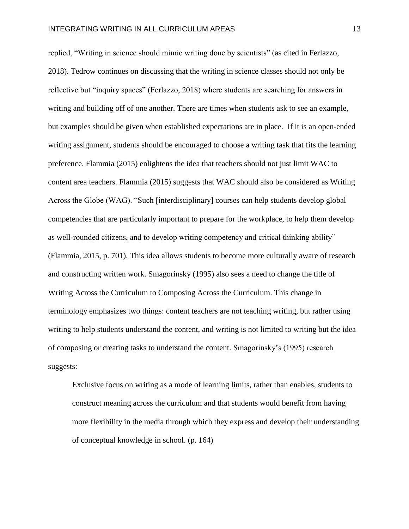replied, "Writing in science should mimic writing done by scientists" (as cited in Ferlazzo, 2018). Tedrow continues on discussing that the writing in science classes should not only be reflective but "inquiry spaces" (Ferlazzo, 2018) where students are searching for answers in writing and building off of one another. There are times when students ask to see an example, but examples should be given when established expectations are in place. If it is an open-ended writing assignment, students should be encouraged to choose a writing task that fits the learning preference. Flammia (2015) enlightens the idea that teachers should not just limit WAC to content area teachers. Flammia (2015) suggests that WAC should also be considered as Writing Across the Globe (WAG). "Such [interdisciplinary] courses can help students develop global competencies that are particularly important to prepare for the workplace, to help them develop as well-rounded citizens, and to develop writing competency and critical thinking ability" (Flammia, 2015, p. 701). This idea allows students to become more culturally aware of research and constructing written work. Smagorinsky (1995) also sees a need to change the title of Writing Across the Curriculum to Composing Across the Curriculum. This change in terminology emphasizes two things: content teachers are not teaching writing, but rather using writing to help students understand the content, and writing is not limited to writing but the idea of composing or creating tasks to understand the content. Smagorinsky's (1995) research suggests:

Exclusive focus on writing as a mode of learning limits, rather than enables, students to construct meaning across the curriculum and that students would benefit from having more flexibility in the media through which they express and develop their understanding of conceptual knowledge in school. (p. 164)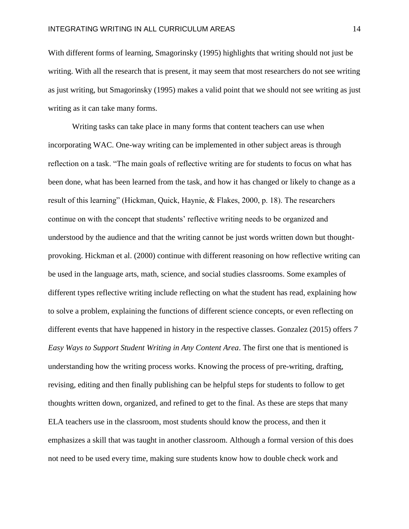With different forms of learning, Smagorinsky (1995) highlights that writing should not just be writing. With all the research that is present, it may seem that most researchers do not see writing as just writing, but Smagorinsky (1995) makes a valid point that we should not see writing as just writing as it can take many forms.

Writing tasks can take place in many forms that content teachers can use when incorporating WAC. One-way writing can be implemented in other subject areas is through reflection on a task. "The main goals of reflective writing are for students to focus on what has been done, what has been learned from the task, and how it has changed or likely to change as a result of this learning" (Hickman, Quick, Haynie, & Flakes, 2000, p. 18). The researchers continue on with the concept that students' reflective writing needs to be organized and understood by the audience and that the writing cannot be just words written down but thoughtprovoking. Hickman et al. (2000) continue with different reasoning on how reflective writing can be used in the language arts, math, science, and social studies classrooms. Some examples of different types reflective writing include reflecting on what the student has read, explaining how to solve a problem, explaining the functions of different science concepts, or even reflecting on different events that have happened in history in the respective classes. Gonzalez (2015) offers *7 Easy Ways to Support Student Writing in Any Content Area*. The first one that is mentioned is understanding how the writing process works. Knowing the process of pre-writing, drafting, revising, editing and then finally publishing can be helpful steps for students to follow to get thoughts written down, organized, and refined to get to the final. As these are steps that many ELA teachers use in the classroom, most students should know the process, and then it emphasizes a skill that was taught in another classroom. Although a formal version of this does not need to be used every time, making sure students know how to double check work and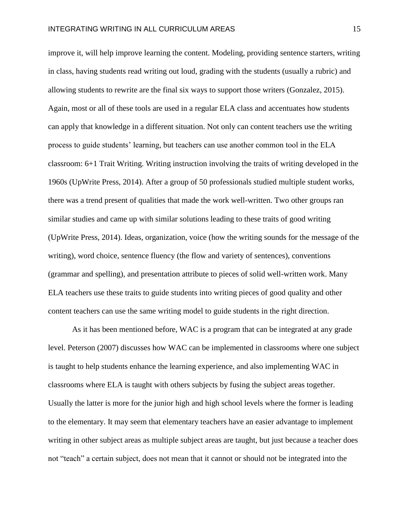improve it, will help improve learning the content. Modeling, providing sentence starters, writing in class, having students read writing out loud, grading with the students (usually a rubric) and allowing students to rewrite are the final six ways to support those writers (Gonzalez, 2015). Again, most or all of these tools are used in a regular ELA class and accentuates how students can apply that knowledge in a different situation. Not only can content teachers use the writing process to guide students' learning, but teachers can use another common tool in the ELA classroom: 6+1 Trait Writing. Writing instruction involving the traits of writing developed in the 1960s (UpWrite Press, 2014). After a group of 50 professionals studied multiple student works, there was a trend present of qualities that made the work well-written. Two other groups ran similar studies and came up with similar solutions leading to these traits of good writing (UpWrite Press, 2014). Ideas, organization, voice (how the writing sounds for the message of the writing), word choice, sentence fluency (the flow and variety of sentences), conventions (grammar and spelling), and presentation attribute to pieces of solid well-written work. Many ELA teachers use these traits to guide students into writing pieces of good quality and other content teachers can use the same writing model to guide students in the right direction.

As it has been mentioned before, WAC is a program that can be integrated at any grade level. Peterson (2007) discusses how WAC can be implemented in classrooms where one subject is taught to help students enhance the learning experience, and also implementing WAC in classrooms where ELA is taught with others subjects by fusing the subject areas together. Usually the latter is more for the junior high and high school levels where the former is leading to the elementary. It may seem that elementary teachers have an easier advantage to implement writing in other subject areas as multiple subject areas are taught, but just because a teacher does not "teach" a certain subject, does not mean that it cannot or should not be integrated into the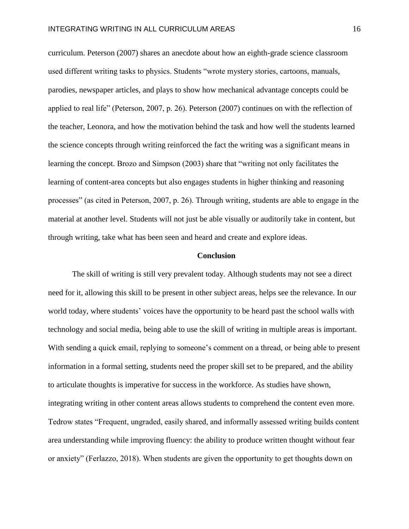curriculum. Peterson (2007) shares an anecdote about how an eighth-grade science classroom used different writing tasks to physics. Students "wrote mystery stories, cartoons, manuals, parodies, newspaper articles, and plays to show how mechanical advantage concepts could be applied to real life" (Peterson, 2007, p. 26). Peterson (2007) continues on with the reflection of the teacher, Leonora, and how the motivation behind the task and how well the students learned the science concepts through writing reinforced the fact the writing was a significant means in learning the concept. Brozo and Simpson (2003) share that "writing not only facilitates the learning of content-area concepts but also engages students in higher thinking and reasoning processes" (as cited in Peterson, 2007, p. 26). Through writing, students are able to engage in the material at another level. Students will not just be able visually or auditorily take in content, but through writing, take what has been seen and heard and create and explore ideas.

#### **Conclusion**

The skill of writing is still very prevalent today. Although students may not see a direct need for it, allowing this skill to be present in other subject areas, helps see the relevance. In our world today, where students' voices have the opportunity to be heard past the school walls with technology and social media, being able to use the skill of writing in multiple areas is important. With sending a quick email, replying to someone's comment on a thread, or being able to present information in a formal setting, students need the proper skill set to be prepared, and the ability to articulate thoughts is imperative for success in the workforce. As studies have shown, integrating writing in other content areas allows students to comprehend the content even more. Tedrow states "Frequent, ungraded, easily shared, and informally assessed writing builds content area understanding while improving fluency: the ability to produce written thought without fear or anxiety" (Ferlazzo, 2018). When students are given the opportunity to get thoughts down on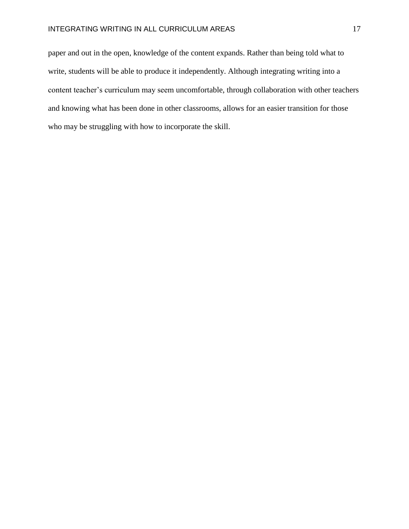paper and out in the open, knowledge of the content expands. Rather than being told what to write, students will be able to produce it independently. Although integrating writing into a content teacher's curriculum may seem uncomfortable, through collaboration with other teachers and knowing what has been done in other classrooms, allows for an easier transition for those who may be struggling with how to incorporate the skill.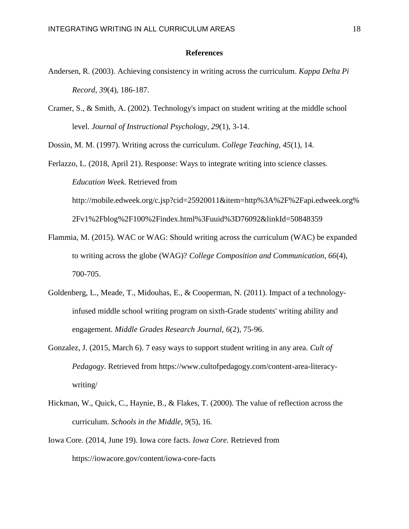## **References**

- Andersen, R. (2003). Achieving consistency in writing across the curriculum. *Kappa Delta Pi Record, 39*(4), 186-187.
- Cramer, S., & Smith, A. (2002). Technology's impact on student writing at the middle school level. *Journal of Instructional Psychology, 29*(1), 3-14.

Dossin, M. M. (1997). Writing across the curriculum. *College Teaching, 45*(1), 14.

Ferlazzo, L. (2018, April 21). Response: Ways to integrate writing into science classes. *Education Week.* Retrieved from http://mobile.edweek.org/c.jsp?cid=25920011&item=http%3A%2F%2Fapi.edweek.org% 2Fv1%2Fblog%2F100%2Findex.html%3Fuuid%3D76092&linkId=50848359

- Flammia, M. (2015). WAC or WAG: Should writing across the curriculum (WAC) be expanded to writing across the globe (WAG)? *College Composition and Communication, 66*(4), 700-705.
- Goldenberg, L., Meade, T., Midouhas, E., & Cooperman, N. (2011). Impact of a technologyinfused middle school writing program on sixth-Grade students' writing ability and engagement. *Middle Grades Research Journal, 6*(2), 75-96.
- Gonzalez, J. (2015, March 6). 7 easy ways to support student writing in any area. *Cult of Pedagogy.* Retrieved from https://www.cultofpedagogy.com/content-area-literacywriting/
- Hickman, W., Quick, C., Haynie, B., & Flakes, T. (2000). The value of reflection across the curriculum. *Schools in the Middle, 9*(5), 16.
- Iowa Core. (2014, June 19). Iowa core facts. *Iowa Core.* Retrieved from https://iowacore.gov/content/iowa-core-facts